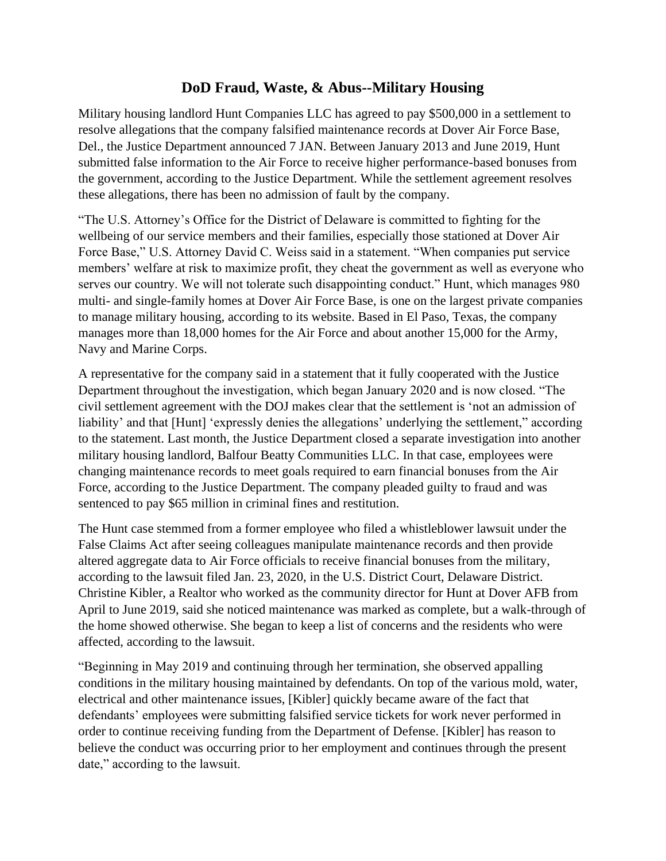## **DoD Fraud, Waste, & Abus--Military Housing**

Military housing landlord Hunt Companies LLC has agreed to pay \$500,000 in a settlement to resolve allegations that the company falsified maintenance records at Dover Air Force Base, Del., the Justice Department announced 7 JAN. Between January 2013 and June 2019, Hunt submitted false information to the Air Force to receive higher performance-based bonuses from the government, according to the Justice Department. While the settlement agreement resolves these allegations, there has been no admission of fault by the company.

"The U.S. Attorney's Office for the District of Delaware is committed to fighting for the wellbeing of our service members and their families, especially those stationed at Dover Air Force Base," U.S. Attorney David C. Weiss said in a statement. "When companies put service members' welfare at risk to maximize profit, they cheat the government as well as everyone who serves our country. We will not tolerate such disappointing conduct." Hunt, which manages 980 multi- and single-family homes at Dover Air Force Base, is one on the largest private companies to manage military housing, according to its website. Based in El Paso, Texas, the company manages more than 18,000 homes for the Air Force and about another 15,000 for the Army, Navy and Marine Corps.

A representative for the company said in a statement that it fully cooperated with the Justice Department throughout the investigation, which began January 2020 and is now closed. "The civil settlement agreement with the DOJ makes clear that the settlement is 'not an admission of liability' and that [Hunt] 'expressly denies the allegations' underlying the settlement," according to the statement. Last month, the Justice Department closed a separate investigation into another military housing landlord, Balfour Beatty Communities LLC. In that case, employees were changing maintenance records to meet goals required to earn financial bonuses from the Air Force, according to the Justice Department. The company pleaded guilty to fraud and was sentenced to pay \$65 million in criminal fines and restitution.

The Hunt case stemmed from a former employee who filed a whistleblower lawsuit under the False Claims Act after seeing colleagues manipulate maintenance records and then provide altered aggregate data to Air Force officials to receive financial bonuses from the military, according to the lawsuit filed Jan. 23, 2020, in the U.S. District Court, Delaware District. Christine Kibler, a Realtor who worked as the community director for Hunt at Dover AFB from April to June 2019, said she noticed maintenance was marked as complete, but a walk-through of the home showed otherwise. She began to keep a list of concerns and the residents who were affected, according to the lawsuit.

"Beginning in May 2019 and continuing through her termination, she observed appalling conditions in the military housing maintained by defendants. On top of the various mold, water, electrical and other maintenance issues, [Kibler] quickly became aware of the fact that defendants' employees were submitting falsified service tickets for work never performed in order to continue receiving funding from the Department of Defense. [Kibler] has reason to believe the conduct was occurring prior to her employment and continues through the present date," according to the lawsuit.